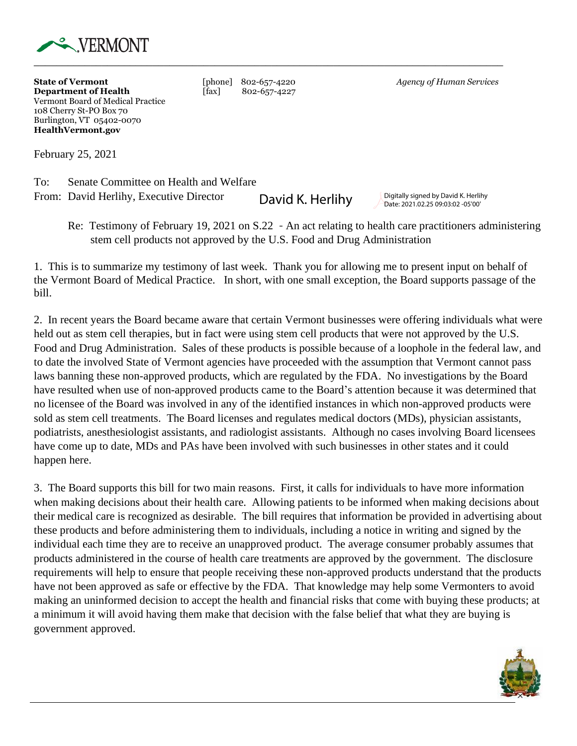

**State of Vermont and [phone] 802-657-4220** *Agency of Human Services* **Department of Health**  $\begin{bmatrix} \hat{f}ax \end{bmatrix}$  802-657-4227 Vermont Board of Medical Practice 108 Cherry St-PO Box 70 Burlington, VT 05402-0070 **HealthVermont.gov** 

February 25, 2021

To: Senate Committee on Health and Welfare From: David Herlihy, Executive Director

**David K. Herlihy** Digitally signed by David K. Herlihy Date: 2021.02.25 09:03:02 -05'00'

Re: Testimony of February 19, 2021 on S.22 - An act relating to health care practitioners administering stem cell products not approved by the U.S. Food and Drug Administration

1. This is to summarize my testimony of last week. Thank you for allowing me to present input on behalf of the Vermont Board of Medical Practice. In short, with one small exception, the Board supports passage of the bill.

2. In recent years the Board became aware that certain Vermont businesses were offering individuals what were held out as stem cell therapies, but in fact were using stem cell products that were not approved by the U.S. Food and Drug Administration. Sales of these products is possible because of a loophole in the federal law, and to date the involved State of Vermont agencies have proceeded with the assumption that Vermont cannot pass laws banning these non-approved products, which are regulated by the FDA. No investigations by the Board have resulted when use of non-approved products came to the Board's attention because it was determined that no licensee of the Board was involved in any of the identified instances in which non-approved products were sold as stem cell treatments. The Board licenses and regulates medical doctors (MDs), physician assistants, podiatrists, anesthesiologist assistants, and radiologist assistants. Although no cases involving Board licensees have come up to date, MDs and PAs have been involved with such businesses in other states and it could happen here.

3. The Board supports this bill for two main reasons. First, it calls for individuals to have more information when making decisions about their health care. Allowing patients to be informed when making decisions about their medical care is recognized as desirable. The bill requires that information be provided in advertising about these products and before administering them to individuals, including a notice in writing and signed by the individual each time they are to receive an unapproved product. The average consumer probably assumes that products administered in the course of health care treatments are approved by the government. The disclosure requirements will help to ensure that people receiving these non-approved products understand that the products have not been approved as safe or effective by the FDA. That knowledge may help some Vermonters to avoid making an uninformed decision to accept the health and financial risks that come with buying these products; at a minimum it will avoid having them make that decision with the false belief that what they are buying is government approved.